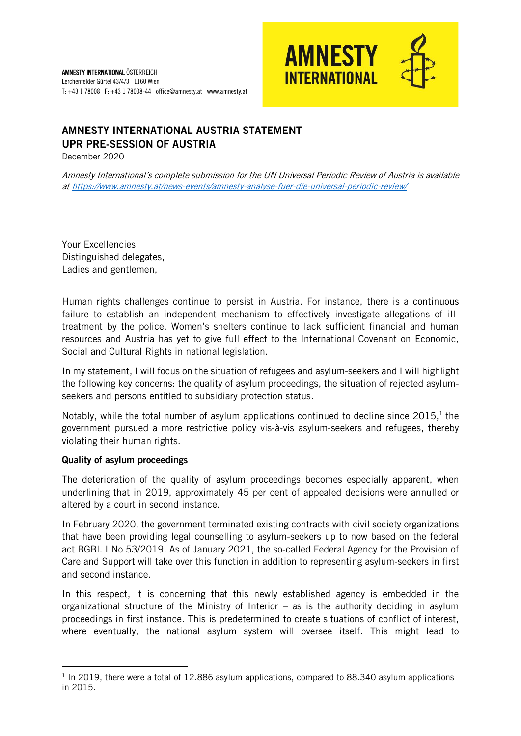

# AMNESTY INTERNATIONAL AUSTRIA STATEMENT UPR PRE-SESSION OF AUSTRIA

December 2020

Amnesty International's complete submission for the UN Universal Periodic Review of Austria is available a[t https://www.amnesty.at/news-events/amnesty-analyse-fuer-die-universal-periodic-review/](https://www.amnesty.at/news-events/amnesty-analyse-fuer-die-universal-periodic-review/)

Your Excellencies, Distinguished delegates, Ladies and gentlemen,

Human rights challenges continue to persist in Austria. For instance, there is a continuous failure to establish an independent mechanism to effectively investigate allegations of illtreatment by the police. Women's shelters continue to lack sufficient financial and human resources and Austria has yet to give full effect to the International Covenant on Economic, Social and Cultural Rights in national legislation.

In my statement, I will focus on the situation of refugees and asylum-seekers and I will highlight the following key concerns: the quality of asylum proceedings, the situation of rejected asylumseekers and persons entitled to subsidiary protection status.

Notably, while the total number of asylum applications continued to decline since  $2015$ ,<sup>1</sup> the government pursued a more restrictive policy vis-à-vis asylum-seekers and refugees, thereby violating their human rights.

#### Quality of asylum proceedings

**.** 

The deterioration of the quality of asylum proceedings becomes especially apparent, when underlining that in 2019, approximately 45 per cent of appealed decisions were annulled or altered by a court in second instance.

In February 2020, the government terminated existing contracts with civil society organizations that have been providing legal counselling to asylum-seekers up to now based on the federal act BGBl. I No 53/2019. As of January 2021, the so-called Federal Agency for the Provision of Care and Support will take over this function in addition to representing asylum-seekers in first and second instance.

In this respect, it is concerning that this newly established agency is embedded in the organizational structure of the Ministry of Interior – as is the authority deciding in asylum proceedings in first instance. This is predetermined to create situations of conflict of interest, where eventually, the national asylum system will oversee itself. This might lead to

<sup>&</sup>lt;sup>1</sup> In 2019, there were a total of 12.886 asylum applications, compared to 88.340 asylum applications in 2015.